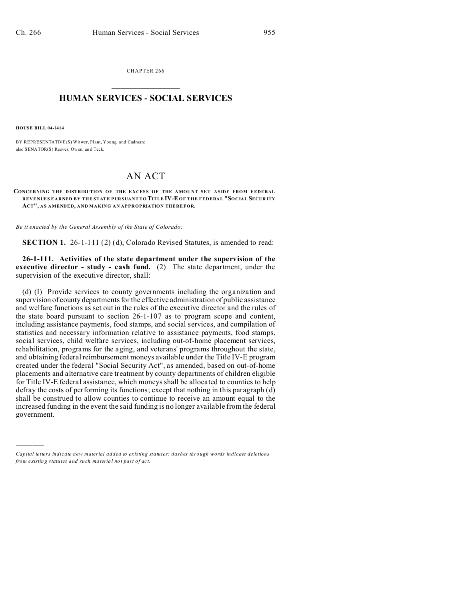CHAPTER 266  $\overline{\phantom{a}}$  , where  $\overline{\phantom{a}}$ 

## **HUMAN SERVICES - SOCIAL SERVICES**  $\frac{1}{2}$  ,  $\frac{1}{2}$  ,  $\frac{1}{2}$  ,  $\frac{1}{2}$  ,  $\frac{1}{2}$  ,  $\frac{1}{2}$

**HOUSE BILL 04-1414**

)))))

BY REPRESENTATIVE(S) Witwer, Plant, Young, and Cadman; also SENATOR(S) Reeves, Owen, an d Teck.

## AN ACT

## **CONCERNING THE D ISTRIBUTION OF THE E XCES S OF THE AMOU NT SET ASIDE FROM F EDERAL REVENUES EARNED BY THE STATE PURSUANT TO TITLE IV-E OF THE FEDERAL "SOCIAL SECUR ITY ACT", AS AMENDED, AND MAKING AN APPROPRIATION THEREFOR.**

*Be it enacted by the General Assembly of the State of Colorado:*

**SECTION 1.** 26-1-111 (2) (d), Colorado Revised Statutes, is amended to read:

**26-1-111. Activities of the state department under the supervision of the executive director - study - cash fund.** (2) The state department, under the supervision of the executive director, shall:

(d) (I) Provide services to county governments including the organization and supervision of county departments for the effective administration of public assistance and welfare functions as set out in the rules of the executive director and the rules of the state board pursuant to section 26-1-107 as to program scope and content, including assistance payments, food stamps, and social services, and compilation of statistics and necessary information relative to assistance payments, food stamps, social services, child welfare services, including out-of-home placement services, rehabilitation, programs for the aging, and veterans' programs throughout the state, and obtaining federal reimbursement moneys available under the Title IV-E program created under the federal "Social Security Act", as amended, based on out-of-home placements and alternative care treatment by county departments of children eligible for Title IV-E federal assistance, which moneys shall be allocated to counties to help defray the costs of performing its functions; except that nothing in this paragraph (d) shall be construed to allow counties to continue to receive an amount equal to the increased funding in the event the said funding is no longer available from the federal government.

*Capital letters indicate new material added to existing statutes; dashes through words indicate deletions from e xistin g statu tes a nd such ma teria l no t pa rt of ac t.*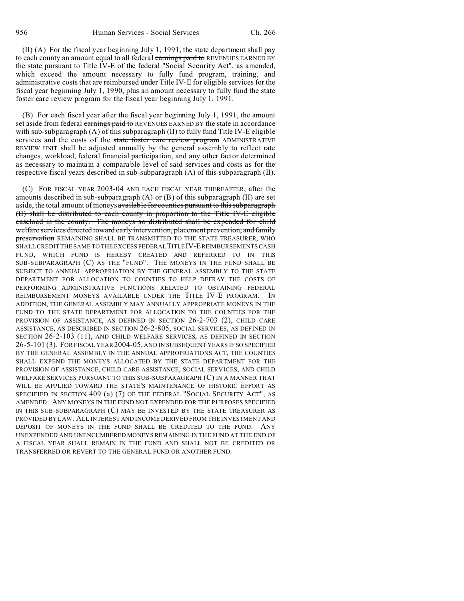(II) (A) For the fiscal year beginning July 1, 1991, the state department shall pay to each county an amount equal to all federal earnings paid to REVENUES EARNED BY the state pursuant to Title IV-E of the federal "Social Security Act", as amended, which exceed the amount necessary to fully fund program, training, and administrative costs that are reimbursed under Title IV-E for eligible services for the fiscal year beginning July 1, 1990, plus an amount necessary to fully fund the state foster care review program for the fiscal year beginning July 1, 1991.

(B) For each fiscal year after the fiscal year beginning July 1, 1991, the amount set aside from federal earnings paid to REVENUES EARNED BY the state in accordance with sub-subparagraph  $(A)$  of this subparagraph  $(II)$  to fully fund Title IV-E eligible services and the costs of the state foster care review program ADMINISTRATIVE REVIEW UNIT shall be adjusted annually by the general assembly to reflect rate changes, workload, federal financial participation, and any other factor determined as necessary to maintain a comparable level of said services and costs as for the respective fiscal years described in sub-subparagraph (A) of this subparagraph (II).

(C) FOR FISCAL YEAR 2003-04 AND EACH FISCAL YEAR THEREAFTER, after the amounts described in sub-subparagraph (A) or (B) of this subparagraph (II) are set aside, the total amount of moneys available for counties pursuant to this subparagraph (II) shall be distributed to each county in proportion to the Title IV-E eligible caseload in the county. The moneys so distributed shall be expended for child welfare services directed toward early intervention, placement prevention, and family preservation REMAINING SHALL BE TRANSMITTED TO THE STATE TREASURER, WHO SHALL CREDIT THE SAME TO THE EXCESS FEDERALTITLEIV-EREIMBURSEMENTS CASH FUND, WHICH FUND IS HEREBY CREATED AND REFERRED TO IN THIS SUB-SUBPARAGRAPH (C) AS THE "FUND". THE MONEYS IN THE FUND SHALL BE SUBJECT TO ANNUAL APPROPRIATION BY THE GENERAL ASSEMBLY TO THE STATE DEPARTMENT FOR ALLOCATION TO COUNTIES TO HELP DEFRAY THE COSTS OF PERFORMING ADMINISTRATIVE FUNCTIONS RELATED TO OBTAINING FEDERAL REIMBURSEMENT MONEYS AVAILABLE UNDER THE TITLE IV-E PROGRAM. IN ADDITION, THE GENERAL ASSEMBLY MAY ANNUALLY APPROPRIATE MONEYS IN THE FUND TO THE STATE DEPARTMENT FOR ALLOCATION TO THE COUNTIES FOR THE PROVISION OF ASSISTANCE, AS DEFINED IN SECTION 26-2-703 (2), CHILD CARE ASSISTANCE, AS DESCRIBED IN SECTION 26-2-805, SOCIAL SERVICES, AS DEFINED IN SECTION 26-2-103 (11), AND CHILD WELFARE SERVICES, AS DEFINED IN SECTION 26-5-101 (3). FOR FISCAL YEAR 2004-05, AND IN SUBSEQUENT YEARS IF SO SPECIFIED BY THE GENERAL ASSEMBLY IN THE ANNUAL APPROPRIATIONS ACT, THE COUNTIES SHALL EXPEND THE MONEYS ALLOCATED BY THE STATE DEPARTMENT FOR THE PROVISION OF ASSISTANCE, CHILD CARE ASSISTANCE, SOCIAL SERVICES, AND CHILD WELFARE SERVICES PURSUANT TO THIS SUB-SUBPARAGRAPH (C) IN A MANNER THAT WILL BE APPLIED TOWARD THE STATE'S MAINTENANCE OF HISTORIC EFFORT AS SPECIFIED IN SECTION 409 (a) (7) OF THE FEDERAL "SOCIAL SECURITY ACT", AS AMENDED. ANY MONEYS IN THE FUND NOT EXPENDED FOR THE PURPOSES SPECIFIED IN THIS SUB-SUBPARAGRAPH (C) MAY BE INVESTED BY THE STATE TREASURER AS PROVIDED BY LAW. ALL INTEREST AND INCOME DERIVED FROM THE INVESTMENT AND DEPOSIT OF MONEYS IN THE FUND SHALL BE CREDITED TO THE FUND. ANY UNEXPENDED AND UNENCUMBERED MONEYS REMAINING IN THE FUND AT THE END OF A FISCAL YEAR SHALL REMAIN IN THE FUND AND SHALL NOT BE CREDITED OR TRANSFERRED OR REVERT TO THE GENERAL FUND OR ANOTHER FUND.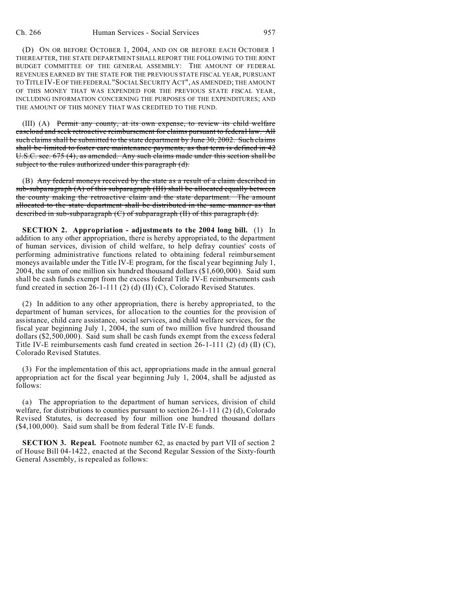(D) ON OR BEFORE OCTOBER 1, 2004, AND ON OR BEFORE EACH OCTOBER 1 THEREAFTER, THE STATE DEPARTMENT SHALL REPORT THE FOLLOWING TO THE JOINT BUDGET COMMITTEE OF THE GENERAL ASSEMBLY: THE AMOUNT OF FEDERAL REVENUES EARNED BY THE STATE FOR THE PREVIOUS STATE FISCAL YEAR, PURSUANT TO TITLEIV-E OF THE FEDERAL "SOCIAL SECURITY ACT", AS AMENDED; THE AMOUNT OF THIS MONEY THAT WAS EXPENDED FOR THE PREVIOUS STATE FISCAL YEAR, INCLUDING INFORMATION CONCERNING THE PURPOSES OF THE EXPENDITURES; AND THE AMOUNT OF THIS MONEY THAT WAS CREDITED TO THE FUND.

(III) (A) Permit any county, at its own expense, to review its child welfare caseload and seek retroactive reimbursement for claims pursuant to federal law. All such claims shall be submitted to the state department by June 30, 2002. Such claims shall be limited to foster care maintenance payments, as that term is defined in 42 U.S.C. sec. 675 (4), as amended. Any such claims made under this section shall be subject to the rules authorized under this paragraph (d).

(B) Any federal moneys received by the state as a result of a claim described in sub-subparagraph (A) of this subparagraph (III) shall be allocated equally between the county making the retroactive claim and the state department. The amount allocated to the state department shall be distributed in the same manner as that described in sub-subparagraph  $(C)$  of subparagraph  $(H)$  of this paragraph  $(d)$ .

**SECTION 2. Appropriation - adjustments to the 2004 long bill.** (1) In addition to any other appropriation, there is hereby appropriated, to the department of human services, division of child welfare, to help defray counties' costs of performing administrative functions related to obtaining federal reimbursement moneys available under the Title IV-E program, for the fiscal year beginning July 1, 2004, the sum of one million six hundred thousand dollars (\$1,600,000). Said sum shall be cash funds exempt from the excess federal Title IV-E reimbursements cash fund created in section 26-1-111 (2) (d) (II) (C), Colorado Revised Statutes.

(2) In addition to any other appropriation, there is hereby appropriated, to the department of human services, for allocation to the counties for the provision of assistance, child care assistance, social services, and child welfare services, for the fiscal year beginning July 1, 2004, the sum of two million five hundred thousand dollars (\$2,500,000). Said sum shall be cash funds exempt from the excess federal Title IV-E reimbursements cash fund created in section  $26-1-111$  (2) (d) (II) (C), Colorado Revised Statutes.

(3) For the implementation of this act, appropriations made in the annual general appropriation act for the fiscal year beginning July 1, 2004, shall be adjusted as follows:

(a) The appropriation to the department of human services, division of child welfare, for distributions to counties pursuant to section  $26-1-111$  (2) (d), Colorado Revised Statutes, is decreased by four million one hundred thousand dollars (\$4,100,000). Said sum shall be from federal Title IV-E funds.

**SECTION 3. Repeal.** Footnote number 62, as enacted by part VII of section 2 of House Bill 04-1422, enacted at the Second Regular Session of the Sixty-fourth General Assembly, is repealed as follows: